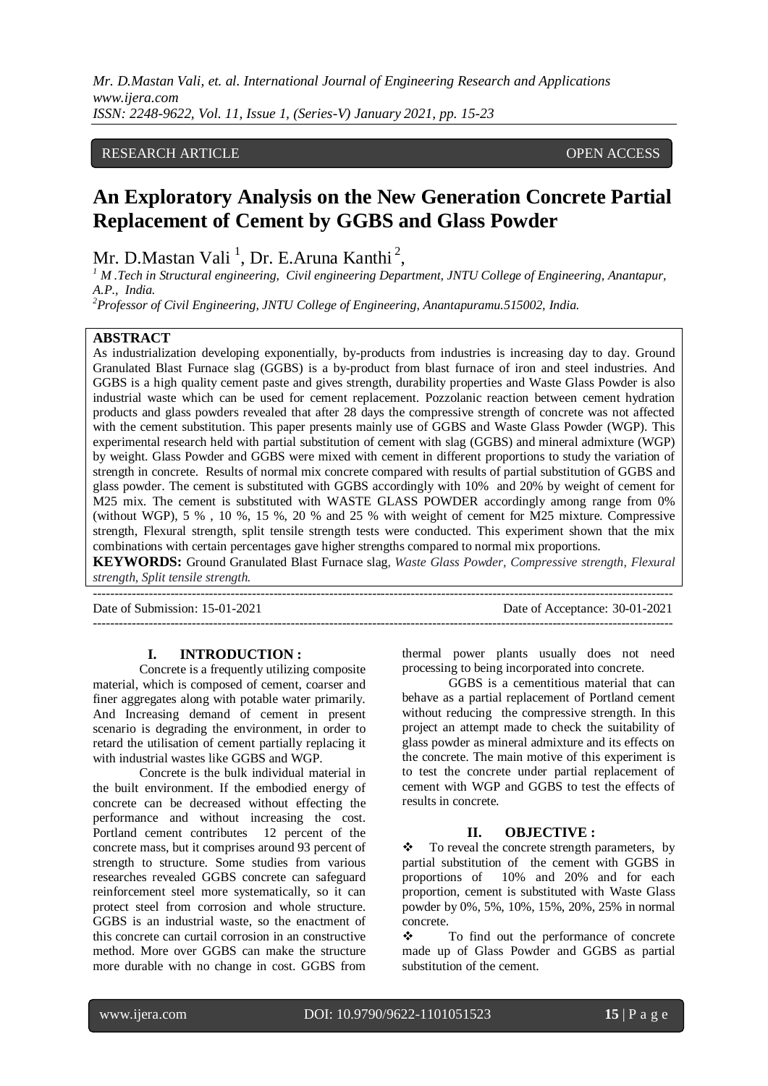# RESEARCH ARTICLE OPEN ACCESS

# **An Exploratory Analysis on the New Generation Concrete Partial Replacement of Cement by GGBS and Glass Powder**

Mr. D.Mastan Vali<sup>1</sup>, Dr. E.Aruna Kanthi<sup>2</sup>,

*<sup>1</sup> M .Tech in Structural engineering, Civil engineering Department, JNTU College of Engineering, Anantapur, A.P., India.*

*<sup>2</sup>Professor of Civil Engineering, JNTU College of Engineering, Anantapuramu.515002, India.*

#### **ABSTRACT**

As industrialization developing exponentially, by-products from industries is increasing day to day. Ground Granulated Blast Furnace slag (GGBS) is a by-product from blast furnace of iron and steel industries. And GGBS is a high quality cement paste and gives strength, durability properties and Waste Glass Powder is also industrial waste which can be used for cement replacement. Pozzolanic reaction between cement hydration products and glass powders revealed that after 28 days the compressive strength of concrete was not affected with the cement substitution. This paper presents mainly use of GGBS and Waste Glass Powder (WGP). This experimental research held with partial substitution of cement with slag (GGBS) and mineral admixture (WGP) by weight. Glass Powder and GGBS were mixed with cement in different proportions to study the variation of strength in concrete. Results of normal mix concrete compared with results of partial substitution of GGBS and glass powder. The cement is substituted with GGBS accordingly with 10% and 20% by weight of cement for M25 mix. The cement is substituted with WASTE GLASS POWDER accordingly among range from 0% (without WGP), 5 % , 10 %, 15 %, 20 % and 25 % with weight of cement for M25 mixture. Compressive strength, Flexural strength, split tensile strength tests were conducted. This experiment shown that the mix combinations with certain percentages gave higher strengths compared to normal mix proportions.

**KEYWORDS:** Ground Granulated Blast Furnace slag*, Waste Glass Powder, Compressive strength, Flexural strength, Split tensile strength.*

---------------------------------------------------------------------------------------------------------------------------------------

---------------------------------------------------------------------------------------------------------------------------------------

Date of Submission: 15-01-2021 Date of Acceptance: 30-01-2021

**I. INTRODUCTION :**

Concrete is a frequently utilizing composite material, which is composed of cement, coarser and finer aggregates along with potable water primarily. And Increasing demand of cement in present scenario is degrading the environment, in order to retard the utilisation of cement partially replacing it with industrial wastes like GGBS and WGP.

Concrete is the bulk individual material in the built environment. If the embodied energy of concrete can be decreased without effecting the performance and without increasing the cost. Portland cement contributes 12 percent of the concrete mass, but it comprises around 93 percent of strength to structure. Some studies from various researches revealed GGBS concrete can safeguard reinforcement steel more systematically, so it can protect steel from corrosion and whole structure. GGBS is an industrial waste, so the enactment of this concrete can curtail corrosion in an constructive method. More over GGBS can make the structure more durable with no change in cost. GGBS from thermal power plants usually does not need processing to being incorporated into concrete.

GGBS is a cementitious material that can behave as a partial replacement of Portland cement without reducing the compressive strength. In this project an attempt made to check the suitability of glass powder as mineral admixture and its effects on the concrete. The main motive of this experiment is to test the concrete under partial replacement of cement with WGP and GGBS to test the effects of results in concrete.

#### **II. OBJECTIVE :**

 To reveal the concrete strength parameters, by partial substitution of the cement with GGBS in proportions of 10% and 20% and for each proportion, cement is substituted with Waste Glass powder by 0%, 5%, 10%, 15%, 20%, 25% in normal concrete.

\* To find out the performance of concrete made up of Glass Powder and GGBS as partial substitution of the cement.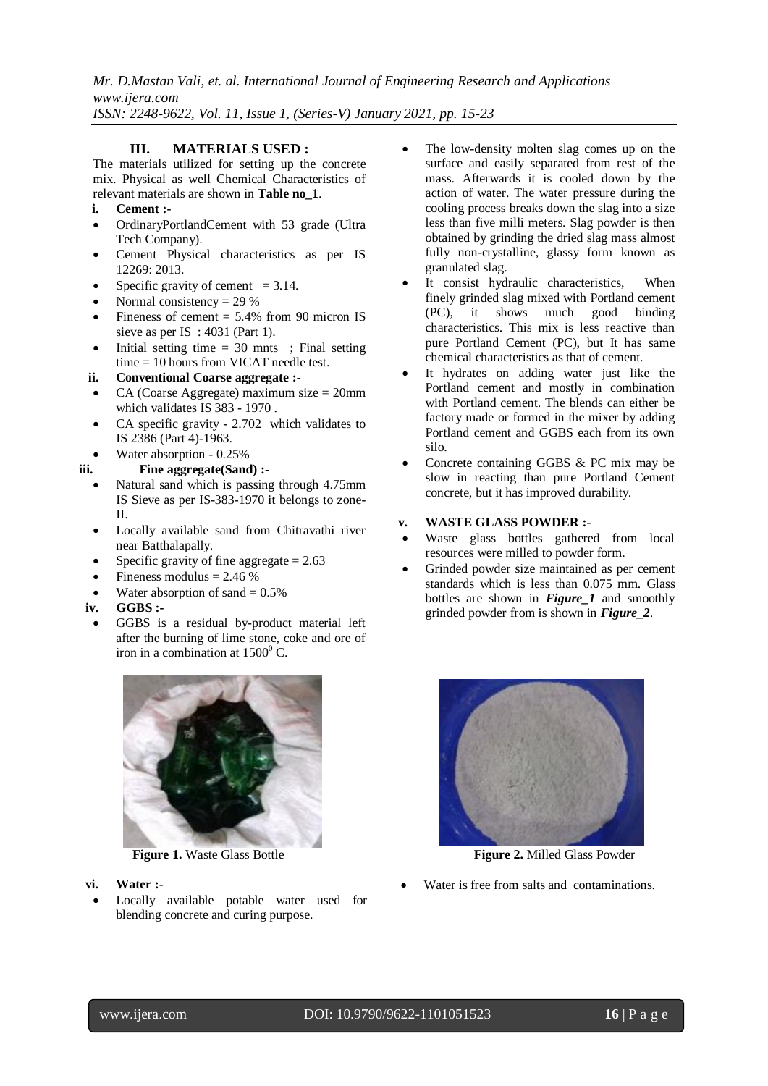### **III. MATERIALS USED :**

The materials utilized for setting up the concrete mix. Physical as well Chemical Characteristics of relevant materials are shown in **Table no\_1**.

- **i. Cement :-**
- OrdinaryPortlandCement with 53 grade (Ultra Tech Company).
- Cement Physical characteristics as per IS 12269: 2013.
- Specific gravity of cement  $= 3.14$ .
- Normal consistency  $= 29\%$
- Fineness of cement  $= 5.4\%$  from 90 micron IS sieve as per IS : 4031 (Part 1).
- $\bullet$  Initial setting time = 30 mnts ; Final setting time = 10 hours from VICAT needle test.
- **ii. Conventional Coarse aggregate :-**
- CA (Coarse Aggregate) maximum size = 20mm which validates IS 383 - 1970.
- CA specific gravity 2.702 which validates to IS 2386 (Part 4)-1963.
- Water absorption 0.25%
- **iii. Fine aggregate(Sand) :-**
	- Natural sand which is passing through 4.75mm IS Sieve as per IS-383-1970 it belongs to zone-II.
	- Locally available sand from Chitravathi river near Batthalapally.
	- Specific gravity of fine aggregate  $= 2.63$
	- Fineness modulus  $= 2.46 %$
	- Water absorption of sand  $= 0.5\%$
- **iv. GGBS :-**
	- GGBS is a residual by-product material left after the burning of lime stone, coke and ore of iron in a combination at  $1500^{\circ}$  C.



- **vi. Water :-**
- Locally available potable water used for blending concrete and curing purpose.
- The low-density molten slag comes up on the surface and easily separated from rest of the mass. Afterwards it is cooled down by the action of water. The water pressure during the cooling process breaks down the slag into a size less than five milli meters. Slag powder is then obtained by grinding the dried slag mass almost fully non-crystalline, glassy form known as granulated slag.
- It consist hydraulic characteristics, When finely grinded slag mixed with Portland cement (PC), it shows much good binding characteristics. This mix is less reactive than pure Portland Cement (PC), but It has same chemical characteristics as that of cement.
- It hydrates on adding water just like the Portland cement and mostly in combination with Portland cement. The blends can either be factory made or formed in the mixer by adding Portland cement and GGBS each from its own silo.
- Concrete containing GGBS & PC mix may be slow in reacting than pure Portland Cement concrete, but it has improved durability.

#### **v. WASTE GLASS POWDER :-**

- Waste glass bottles gathered from local resources were milled to powder form.
- Grinded powder size maintained as per cement standards which is less than 0.075 mm. Glass bottles are shown in *Figure\_1* and smoothly grinded powder from is shown in *Figure\_2*.



**Figure 1.** Waste Glass Bottle **Figure 2.** Milled Glass Powder

Water is free from salts and contaminations.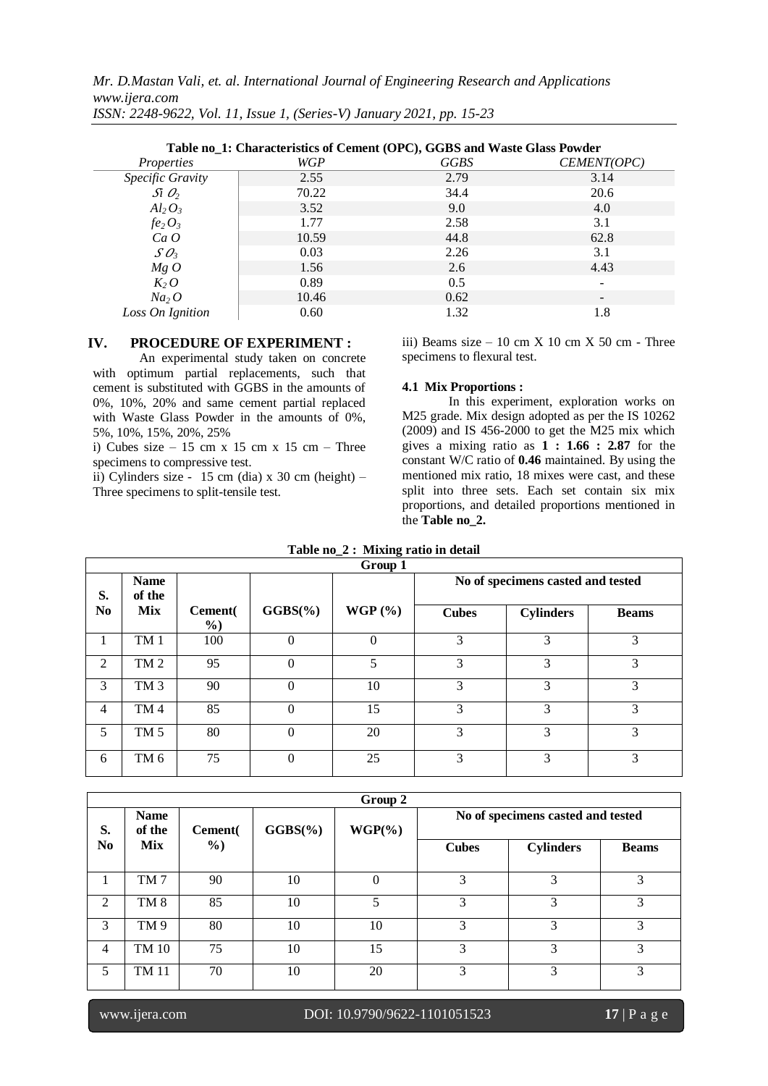|                                      | Table no_1: Characteristics of Cement (OPC), GGBS and Waste Glass Powder |      |                          |  |  |  |
|--------------------------------------|--------------------------------------------------------------------------|------|--------------------------|--|--|--|
| <i>Properties</i>                    | WGP                                                                      | GGBS | CEMENT(OPC)              |  |  |  |
| Specific Gravity                     | 2.55                                                                     | 2.79 | 3.14                     |  |  |  |
| $\int \mathcal{S}$ i $\mathcal{O}_2$ | 70.22                                                                    | 34.4 | 20.6                     |  |  |  |
| $Al_2O_3$                            | 3.52                                                                     | 9.0  | 4.0                      |  |  |  |
| $fe_2O_3$                            | 1.77                                                                     | 2.58 | 3.1                      |  |  |  |
| Ca O                                 | 10.59                                                                    | 44.8 | 62.8                     |  |  |  |
| $SO_3$                               | 0.03                                                                     | 2.26 | 3.1                      |  |  |  |
| MgO                                  | 1.56                                                                     | 2.6  | 4.43                     |  |  |  |
| $K_2$ O                              | 0.89                                                                     | 0.5  |                          |  |  |  |
| Na <sub>2</sub> O                    | 10.46                                                                    | 0.62 | $\overline{\phantom{0}}$ |  |  |  |
| Loss On Ignition                     | 0.60                                                                     | 1.32 | 1.8                      |  |  |  |

#### **IV. PROCEDURE OF EXPERIMENT :**

An experimental study taken on concrete with optimum partial replacements, such that cement is substituted with GGBS in the amounts of 0%, 10%, 20% and same cement partial replaced with Waste Glass Powder in the amounts of 0%, 5%, 10%, 15%, 20%, 25%

i) Cubes size  $-15$  cm x 15 cm x 15 cm – Three specimens to compressive test.

ii) Cylinders size - 15 cm (dia)  $x$  30 cm (height) – Three specimens to split-tensile test.

iii) Beams size  $-10$  cm X 10 cm X 50 cm - Three specimens to flexural test.

#### **4.1 Mix Proportions :**

In this experiment, exploration works on M25 grade. Mix design adopted as per the IS 10262 (2009) and IS 456-2000 to get the M25 mix which gives a mixing ratio as **1 : 1.66 : 2.87** for the constant W/C ratio of **0.46** maintained. By using the mentioned mix ratio, 18 mixes were cast, and these split into three sets. Each set contain six mix proportions, and detailed proportions mentioned in the **Table no\_2.**

|                | Group 1               |                          |             |             |              |                                   |              |
|----------------|-----------------------|--------------------------|-------------|-------------|--------------|-----------------------------------|--------------|
| S.             | <b>Name</b><br>of the |                          |             |             |              | No of specimens casted and tested |              |
| N <sub>0</sub> | <b>Mix</b>            | Cement(<br>$\frac{6}{2}$ | $GGBS(\% )$ | WGP $(\% )$ | <b>Cubes</b> | <b>Cylinders</b>                  | <b>Beams</b> |
| 1              | TM <sub>1</sub>       | 100                      | $\Omega$    | $\Omega$    | 3            | 3                                 | 3            |
| 2              | TM <sub>2</sub>       | 95                       | $\Omega$    | 5           | 3            | 3                                 | 3            |
| 3              | TM <sub>3</sub>       | 90                       | $\Omega$    | 10          | 3            | 3                                 | 3            |
| $\overline{4}$ | TM <sub>4</sub>       | 85                       | $\theta$    | 15          | 3            | 3                                 | 3            |
| 5              | TM <sub>5</sub>       | 80                       | $\theta$    | 20          | 3            | 3                                 | 3            |
| 6              | TM <sub>6</sub>       | 75                       | $\Omega$    | 25          | 3            | 3                                 | 3            |

|                | Group 2               |                 |             |           |              |                                   |              |
|----------------|-----------------------|-----------------|-------------|-----------|--------------|-----------------------------------|--------------|
| S.             | <b>Name</b><br>of the | <b>Cement</b> ( | $GGBS(\% )$ | $WGP(\%)$ |              | No of specimens casted and tested |              |
| N <sub>0</sub> | <b>Mix</b>            | $\frac{0}{0}$   |             |           | <b>Cubes</b> | <b>Cylinders</b>                  | <b>Beams</b> |
|                | TM7                   | 90              | 10          | $\theta$  | 3            | 3                                 | 3            |
| 2              | TM <sub>8</sub>       | 85              | 10          | 5         | 3            | 3                                 | 3            |
| 3              | TM <sub>9</sub>       | 80              | 10          | 10        | 3            | 3                                 | 3            |
| 4              | TM 10                 | 75              | 10          | 15        | 3            | 3                                 | 3            |
| 5              | TM 11                 | 70              | 10          | 20        | 3            | 3                                 | 3            |

# www.ijera.com DOI: 10.9790/9622-1101051523 **17** | P a g e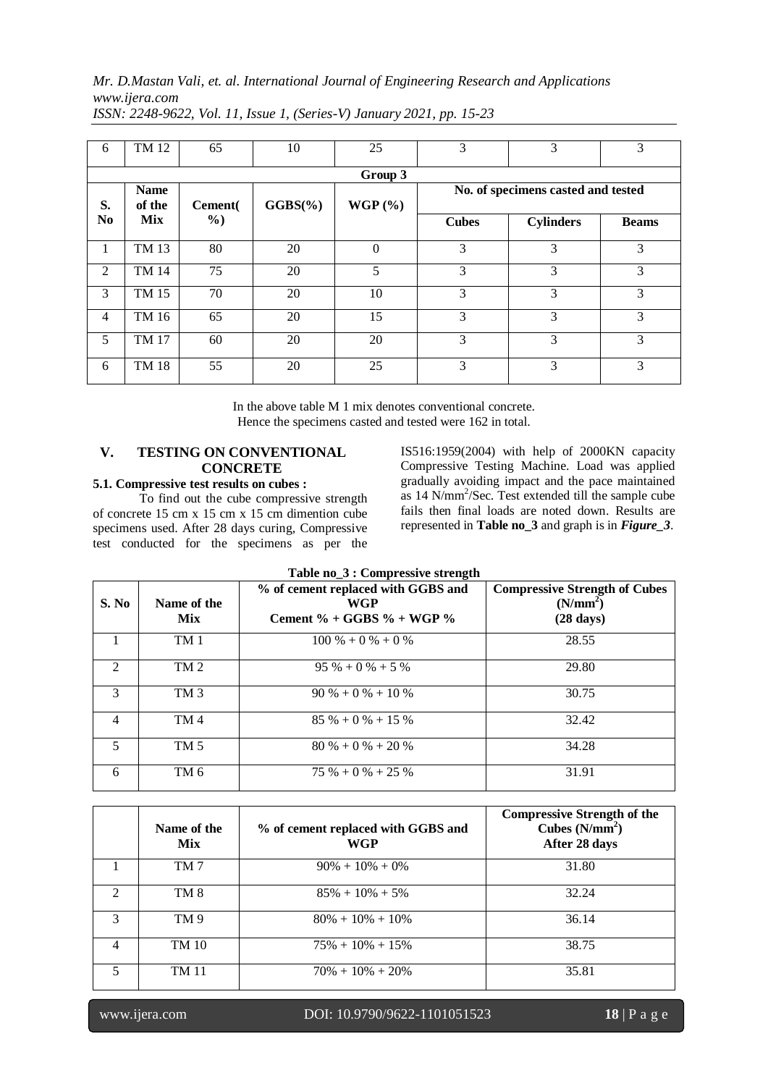| 6              | TM 12                 | 65            | 10          | 25             | 3            | 3                                  | 3            |
|----------------|-----------------------|---------------|-------------|----------------|--------------|------------------------------------|--------------|
|                |                       |               |             | Group 3        |              |                                    |              |
| S.             | <b>Name</b><br>of the | Cement        | $GGBS(\% )$ | WGP(%)         |              | No. of specimens casted and tested |              |
| N <sub>0</sub> | <b>Mix</b>            | $\frac{6}{2}$ |             |                | <b>Cubes</b> | <b>Cylinders</b>                   | <b>Beams</b> |
| 1              | TM 13                 | 80            | 20          | $\overline{0}$ | 3            | 3                                  | 3            |
| 2              | TM 14                 | 75            | 20          | 5              | 3            | 3                                  | 3            |
| 3              | TM 15                 | 70            | 20          | 10             | 3            | 3                                  | 3            |
| $\overline{4}$ | TM 16                 | 65            | 20          | 15             | 3            | 3                                  | 3            |
| 5              | TM 17                 | 60            | 20          | 20             | 3            | 3                                  | 3            |
| 6              | <b>TM 18</b>          | 55            | 20          | 25             | 3            | 3                                  | 3            |

*ISSN: 2248-9622, Vol. 11, Issue 1, (Series-V) January 2021, pp. 15-23*

In the above table M 1 mix denotes conventional concrete. Hence the specimens casted and tested were 162 in total.

## **V. TESTING ON CONVENTIONAL CONCRETE 5.1. Compressive test results on cubes :**

To find out the cube compressive strength of concrete 15 cm x 15 cm x 15 cm dimention cube specimens used. After 28 days curing, Compressive test conducted for the specimens as per the

IS516:1959(2004) with help of 2000KN capacity Compressive Testing Machine. Load was applied gradually avoiding impact and the pace maintained as 14 N/mm<sup>2</sup> /Sec. Test extended till the sample cube fails then final loads are noted down. Results are represented in **Table no\_3** and graph is in *Figure\_3*.

| S. No          | Name of the<br><b>Mix</b> | % of cement replaced with GGBS and<br><b>WGP</b><br>Cement % + GGBS % + WGP % | <b>Compressive Strength of Cubes</b><br>(N/mm <sup>2</sup> )<br>$(28 \text{ days})$ |
|----------------|---------------------------|-------------------------------------------------------------------------------|-------------------------------------------------------------------------------------|
|                | TM <sub>1</sub>           | $100\% + 0\% + 0\%$                                                           | 28.55                                                                               |
| 2              | TM <sub>2</sub>           | $95\% + 0\% + 5\%$                                                            | 29.80                                                                               |
| $\mathcal{R}$  | TM <sub>3</sub>           | $90\% + 0\% + 10\%$                                                           | 30.75                                                                               |
| $\overline{4}$ | TM <sub>4</sub>           | $85\% + 0\% + 15\%$                                                           | 32.42                                                                               |
| 5              | TM <sub>5</sub>           | $80\% + 0\% + 20\%$                                                           | 34.28                                                                               |
| 6              | TM <sub>6</sub>           | $75\% + 0\% + 25\%$                                                           | 31.91                                                                               |

| Table no_3 : Compressive strength |  |  |  |  |
|-----------------------------------|--|--|--|--|
|-----------------------------------|--|--|--|--|

|               | Name of the<br><b>Mix</b> | % of cement replaced with GGBS and<br>WGP | <b>Compressive Strength of the</b><br>Cubes $(N/mm^2)$<br>After 28 days |
|---------------|---------------------------|-------------------------------------------|-------------------------------------------------------------------------|
|               | TM 7                      | $90\% + 10\% + 0\%$                       | 31.80                                                                   |
| $\mathcal{D}$ | TM 8                      | $85\% + 10\% + 5\%$                       | 32.24                                                                   |
| 3             | TM 9                      | $80\% + 10\% + 10\%$                      | 36.14                                                                   |
| 4             | TM 10                     | $75\% + 10\% + 15\%$                      | 38.75                                                                   |
|               | TM 11                     | $70\% + 10\% + 20\%$                      | 35.81                                                                   |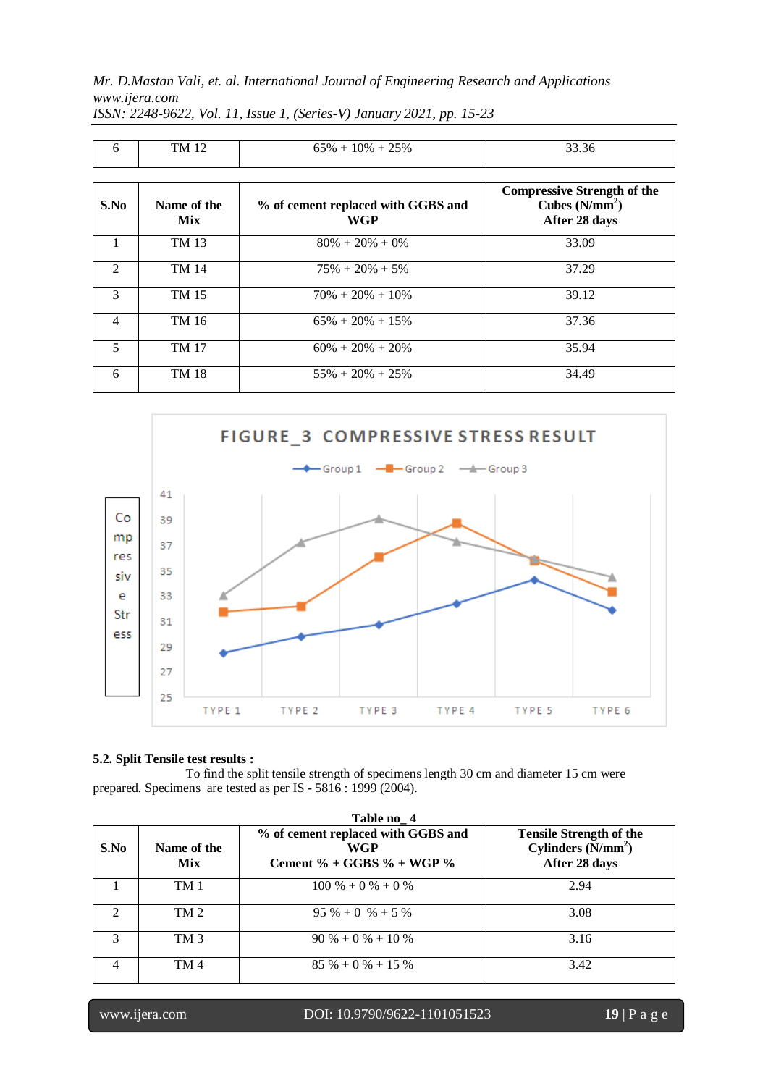| 6                           | TM 12                     | $65\% + 10\% + 25\%$                      | 33.36                                                                  |
|-----------------------------|---------------------------|-------------------------------------------|------------------------------------------------------------------------|
| S.No                        | Name of the<br><b>Mix</b> | % of cement replaced with GGBS and<br>WGP | <b>Compressive Strength of the</b><br>Cubes $(N/mm2)$<br>After 28 days |
|                             | TM 13                     | $80\% + 20\% + 0\%$                       | 33.09                                                                  |
| $\mathcal{D}_{\mathcal{A}}$ | <b>TM 14</b>              | $75\% + 20\% + 5\%$                       | 37.29                                                                  |
| 3                           | TM 15                     | $70\% + 20\% + 10\%$                      | 39.12                                                                  |
| 4                           | TM 16                     | $65\% + 20\% + 15\%$                      | 37.36                                                                  |
| 5                           | <b>TM 17</b>              | $60\% + 20\% + 20\%$                      | 35.94                                                                  |
| 6                           | <b>TM 18</b>              | $55\% + 20\% + 25\%$                      | 34.49                                                                  |

*ISSN: 2248-9622, Vol. 11, Issue 1, (Series-V) January 2021, pp. 15-23*



## **5.2. Split Tensile test results :**

To find the split tensile strength of specimens length 30 cm and diameter 15 cm were prepared. Specimens are tested as per IS - 5816 : 1999 (2004).

|                             | Table no 4                |                                                                        |                                                                        |  |  |
|-----------------------------|---------------------------|------------------------------------------------------------------------|------------------------------------------------------------------------|--|--|
| S.No                        | Name of the<br><b>Mix</b> | % of cement replaced with GGBS and<br>WGP<br>Cement % + GGBS % + WGP % | <b>Tensile Strength of the</b><br>Cylinders $(N/mm2)$<br>After 28 days |  |  |
|                             | TM 1                      | $100\% + 0\% + 0\%$                                                    | 2.94                                                                   |  |  |
| $\mathcal{D}_{\mathcal{L}}$ | TM <sub>2</sub>           | $95\% + 0\% + 5\%$                                                     | 3.08                                                                   |  |  |
|                             | TM <sub>3</sub>           | $90\% + 0\% + 10\%$                                                    | 3.16                                                                   |  |  |
|                             | TM <sub>4</sub>           | $85\% + 0\% + 15\%$                                                    | 3.42                                                                   |  |  |

 $\overline{\mathbf{u}}$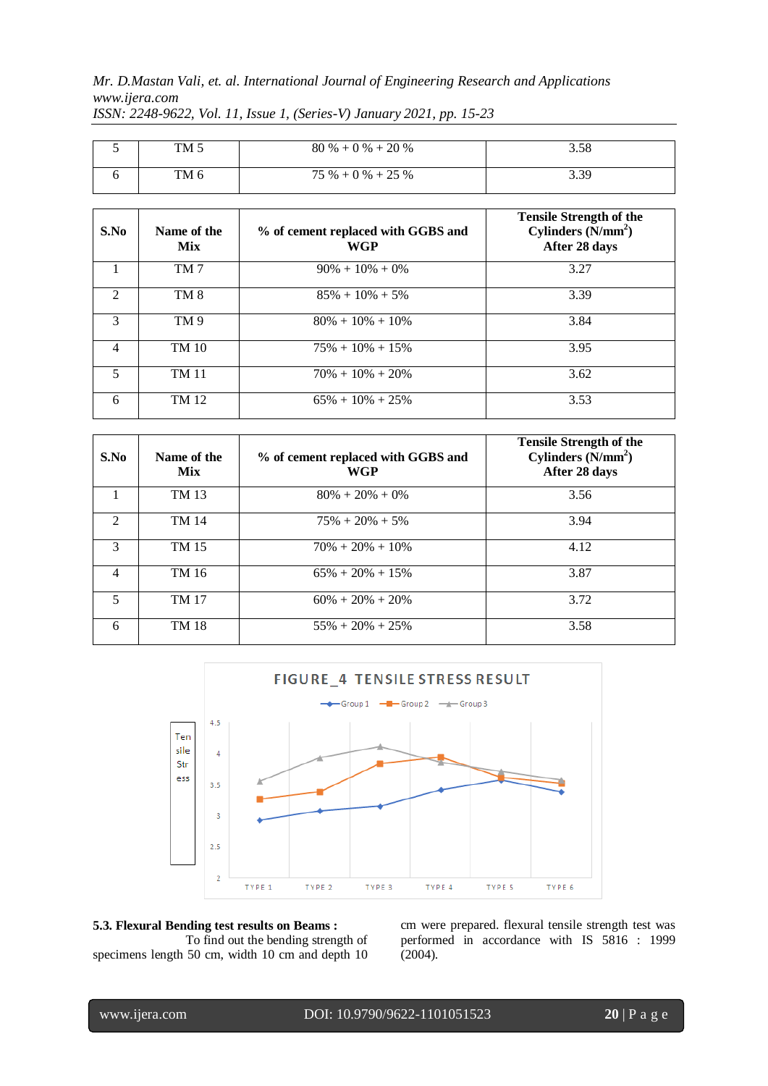| TM 5 | $80\% + 0\% + 20\%$ | 3.58 |
|------|---------------------|------|
| TM 6 | $75\% + 0\% + 25\%$ | 3.39 |

*ISSN: 2248-9622, Vol. 11, Issue 1, (Series-V) January 2021, pp. 15-23*

| S.No                    | Name of the<br><b>Mix</b> | % of cement replaced with GGBS and<br>WGP | <b>Tensile Strength of the</b><br>Cylinders $(N/mm2)$<br>After 28 days |
|-------------------------|---------------------------|-------------------------------------------|------------------------------------------------------------------------|
|                         | TM <sub>7</sub>           | $90\% + 10\% + 0\%$                       | 3.27                                                                   |
| $\mathfrak{D}$          | TM <sub>8</sub>           | $85\% + 10\% + 5\%$                       | 3.39                                                                   |
| 3                       | TM 9                      | $80\% + 10\% + 10\%$                      | 3.84                                                                   |
| $\overline{4}$          | <b>TM 10</b>              | $75\% + 10\% + 15\%$                      | 3.95                                                                   |
| $\overline{\mathbf{5}}$ | <b>TM 11</b>              | $70\% + 10\% + 20\%$                      | 3.62                                                                   |
| 6                       | TM 12                     | $65\% + 10\% + 25\%$                      | 3.53                                                                   |

| S.No           | Name of the<br><b>Mix</b> | % of cement replaced with GGBS and<br>WGP | <b>Tensile Strength of the</b><br>Cylinders $(N/mm2)$<br>After 28 days |
|----------------|---------------------------|-------------------------------------------|------------------------------------------------------------------------|
|                | TM 13                     | $80\% + 20\% + 0\%$                       | 3.56                                                                   |
| $\mathfrak{D}$ | TM 14                     | $75\% + 20\% + 5\%$                       | 3.94                                                                   |
| 3              | TM 15                     | $70\% + 20\% + 10\%$                      | 4.12                                                                   |
| $\overline{4}$ | TM 16                     | $65\% + 20\% + 15\%$                      | 3.87                                                                   |
| 5              | <b>TM 17</b>              | $60\% + 20\% + 20\%$                      | 3.72                                                                   |
| 6              | TM 18                     | $55\% + 20\% + 25\%$                      | 3.58                                                                   |



**5.3. Flexural Bending test results on Beams :** To find out the bending strength of specimens length 50 cm, width 10 cm and depth 10

cm were prepared. flexural tensile strength test was performed in accordance with IS 5816 : 1999 (2004).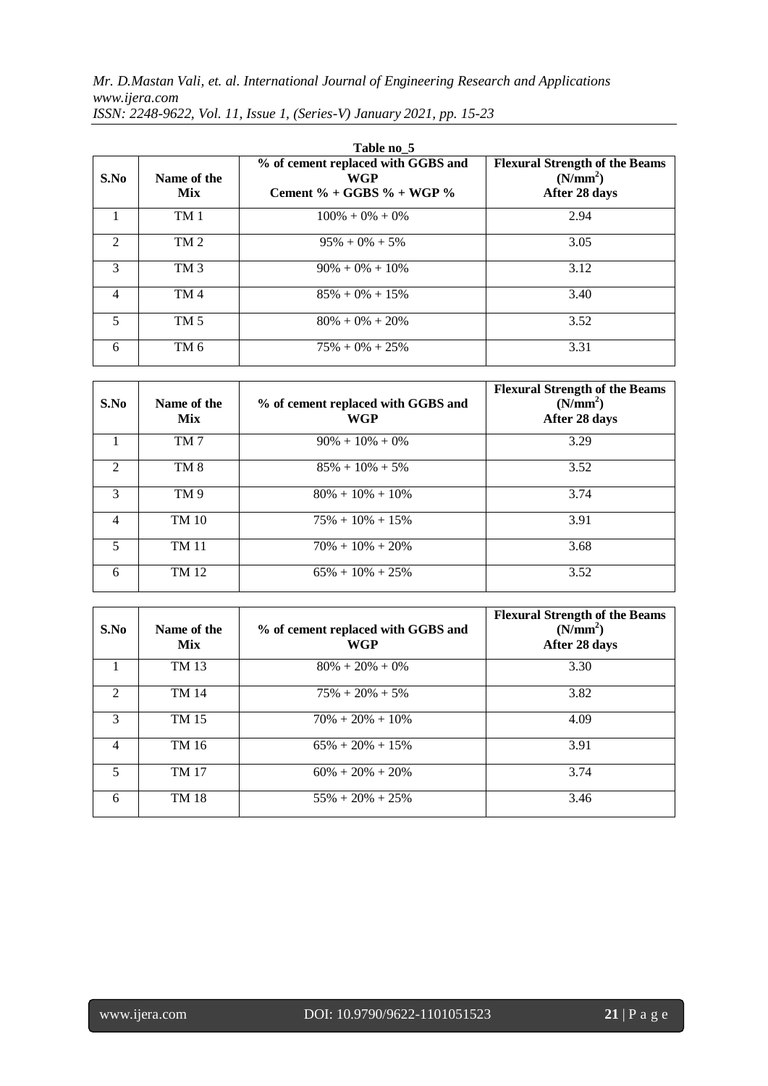| S.No                        | Name of the<br><b>Mix</b> | % of cement replaced with GGBS and<br><b>WGP</b><br>Cement % + GGBS % + WGP % | <b>Flexural Strength of the Beams</b><br>(N/mm <sup>2</sup> )<br>After 28 days |
|-----------------------------|---------------------------|-------------------------------------------------------------------------------|--------------------------------------------------------------------------------|
|                             | TM <sub>1</sub>           | $100\% + 0\% + 0\%$                                                           | 2.94                                                                           |
| $\mathcal{D}_{\mathcal{L}}$ | TM <sub>2</sub>           | $95\% + 0\% + 5\%$                                                            | 3.05                                                                           |
| $\mathcal{R}$               | TM <sub>3</sub>           | $90\% + 0\% + 10\%$                                                           | 3.12                                                                           |
| 4                           | TM <sub>4</sub>           | $85\% + 0\% + 15\%$                                                           | 3.40                                                                           |
| 5                           | TM <sub>5</sub>           | $80\% + 0\% + 20\%$                                                           | 3.52                                                                           |
| 6                           | TM 6                      | $75\% + 0\% + 25\%$                                                           | 3.31                                                                           |

*ISSN: 2248-9622, Vol. 11, Issue 1, (Series-V) January 2021, pp. 15-23*

| S.No           | Name of the<br><b>Mix</b> | % of cement replaced with GGBS and<br>WGP | <b>Flexural Strength of the Beams</b><br>(N/mm <sup>2</sup> )<br>After 28 days |
|----------------|---------------------------|-------------------------------------------|--------------------------------------------------------------------------------|
|                | TM <sub>7</sub>           | $90\% + 10\% + 0\%$                       | 3.29                                                                           |
| $\mathfrak{D}$ | TM <sub>8</sub>           | $85\% + 10\% + 5\%$                       | 3.52                                                                           |
| 3              | TM 9                      | $80\% + 10\% + 10\%$                      | 3.74                                                                           |
| 4              | TM 10                     | $75\% + 10\% + 15\%$                      | 3.91                                                                           |
| 5              | <b>TM 11</b>              | $70\% + 10\% + 20\%$                      | 3.68                                                                           |
| 6              | TM 12                     | $65\% + 10\% + 25\%$                      | 3.52                                                                           |

| S.No           | Name of the<br><b>Mix</b> | % of cement replaced with GGBS and<br>WGP | <b>Flexural Strength of the Beams</b><br>(N/mm <sup>2</sup> )<br>After 28 days |
|----------------|---------------------------|-------------------------------------------|--------------------------------------------------------------------------------|
|                | TM 13                     | $80\% + 20\% + 0\%$                       | 3.30                                                                           |
| $\mathfrak{D}$ | TM 14                     | $75\% + 20\% + 5\%$                       | 3.82                                                                           |
| 3              | TM 15                     | $70\% + 20\% + 10\%$                      | 4.09                                                                           |
| $\overline{4}$ | TM 16                     | $65\% + 20\% + 15\%$                      | 3.91                                                                           |
| 5              | <b>TM 17</b>              | $60\% + 20\% + 20\%$                      | 3.74                                                                           |
| 6              | TM 18                     | $55\% + 20\% + 25\%$                      | 3.46                                                                           |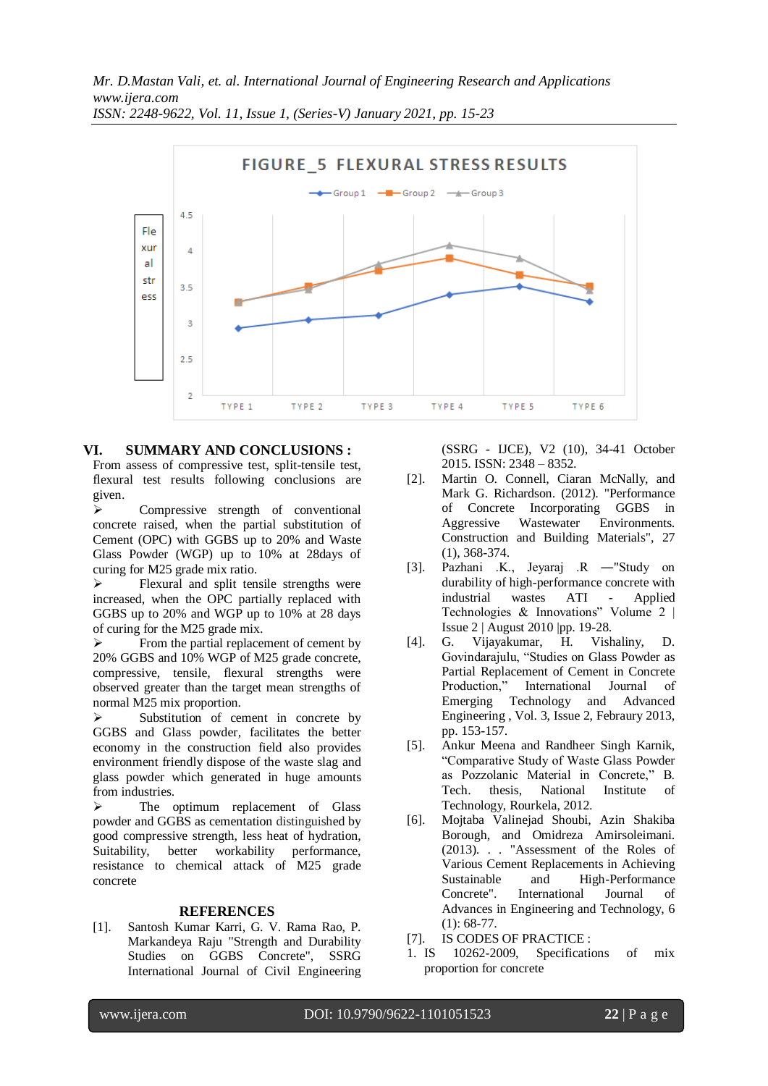

## **VI. SUMMARY AND CONCLUSIONS :**

From assess of compressive test, split-tensile test, flexural test results following conclusions are given.

 $\triangleright$  Compressive strength of conventional concrete raised, when the partial substitution of Cement (OPC) with GGBS up to 20% and Waste Glass Powder (WGP) up to 10% at 28days of curing for M25 grade mix ratio.

 $\triangleright$  Flexural and split tensile strengths were increased, when the OPC partially replaced with GGBS up to 20% and WGP up to 10% at 28 days of curing for the M25 grade mix.

 $\triangleright$  From the partial replacement of cement by 20% GGBS and 10% WGP of M25 grade concrete, compressive, tensile, flexural strengths were observed greater than the target mean strengths of normal M25 mix proportion.

 $\triangleright$  Substitution of cement in concrete by GGBS and Glass powder, facilitates the better economy in the construction field also provides environment friendly dispose of the waste slag and glass powder which generated in huge amounts from industries.

 $\triangleright$  The optimum replacement of Glass powder and GGBS as cementation distinguished by good compressive strength, less heat of hydration, Suitability, better workability performance, resistance to chemical attack of M25 grade concrete

#### **REFERENCES**

[1]. Santosh Kumar Karri, G. V. Rama Rao, P. Markandeya Raju "Strength and Durability Studies on GGBS Concrete", SSRG International Journal of Civil Engineering (SSRG - IJCE), V2 (10), 34-41 October 2015. ISSN: 2348 – 8352.

- [2]. Martin O. Connell, Ciaran McNally, and Mark G. Richardson. (2012). "Performance of Concrete Incorporating GGBS in Aggressive Wastewater Environments. Construction and Building Materials", 27 (1), 368-374.
- [3]. Pazhani .K., Jeyaraj .R ―"Study on durability of high-performance concrete with industrial wastes ATI - Applied Technologies & Innovations" Volume 2 | Issue 2 | August 2010 |pp. 19-28.
- [4]. G. Vijayakumar, H. Vishaliny, D. Govindarajulu, "Studies on Glass Powder as Partial Replacement of Cement in Concrete Production," International Journal of Emerging Technology and Advanced Engineering , Vol. 3, Issue 2, Febraury 2013, pp. 153-157.
- [5]. Ankur Meena and Randheer Singh Karnik, "Comparative Study of Waste Glass Powder as Pozzolanic Material in Concrete," B. Tech. thesis, National Institute of Technology, Rourkela, 2012.
- [6]. Mojtaba Valinejad Shoubi, Azin Shakiba Borough, and Omidreza Amirsoleimani. (2013). . . "Assessment of the Roles of Various Cement Replacements in Achieving Sustainable and High-Performance Concrete". International Journal of Advances in Engineering and Technology, 6 (1): 68-77.
- [7]. IS CODES OF PRACTICE :
- 1. IS 10262-2009, Specifications of mix proportion for concrete